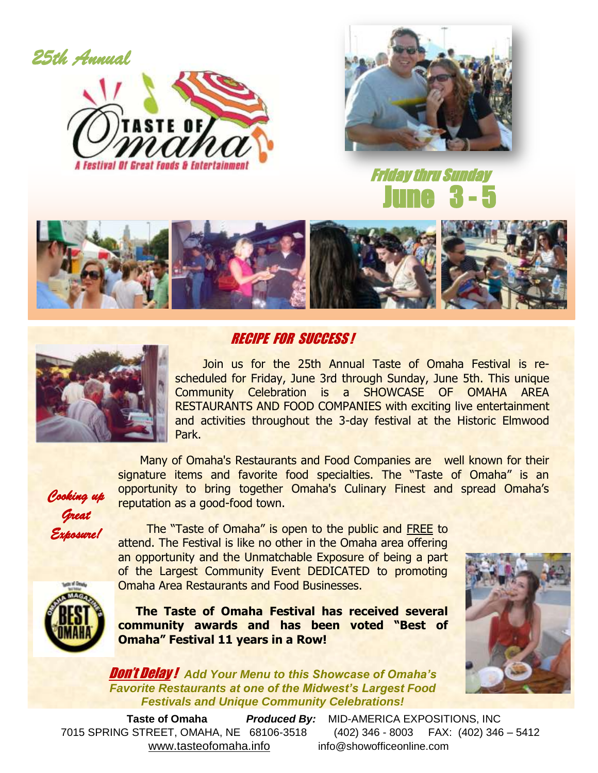*25th Annual* 





 Friday thru Sunday June 3 - 5





### RECIPE FOR SUCCESS !

 Join us for the 25th Annual Taste of Omaha Festival is rescheduled for Friday, June 3rd through Sunday, June 5th. This unique Community Celebration is a SHOWCASE OF OMAHA AREA RESTAURANTS AND FOOD COMPANIES with exciting live entertainment and activities throughout the 3-day festival at the Historic Elmwood Park.

Many of Omaha's Restaurants and Food Companies are well known for their signature items and favorite food specialties. The "Taste of Omaha" is an opportunity to bring together Omaha's Culinary Finest and spread Omaha's reputation as a good-food town.

*Cooking up Great Exposure!* 

 The "Taste of Omaha" is open to the public and FREE to attend. The Festival is like no other in the Omaha area offering an opportunity and the Unmatchable Exposure of being a part of the Largest Community Event DEDICATED to promoting Omaha Area Restaurants and Food Businesses.

**The Taste of Omaha Festival has received several community awards and has been voted "Best of Omaha" Festival 11 years in a Row!**



Don't Delay ! *Add Your Menu to this Showcase of Omaha's Favorite Restaurants at one of the Midwest's Largest Food Festivals and Unique Community Celebrations!*

 **Taste of Omaha** *Produced By:* MID-AMERICA EXPOSITIONS, INC 7015 SPRING STREET, OMAHA, NE 68106-3518 (402) 346 - 8003 FAX: (402) 346 – 5412 [www.tasteofomaha.info](http://www.tasteofomaha.info/) info@showofficeonline.com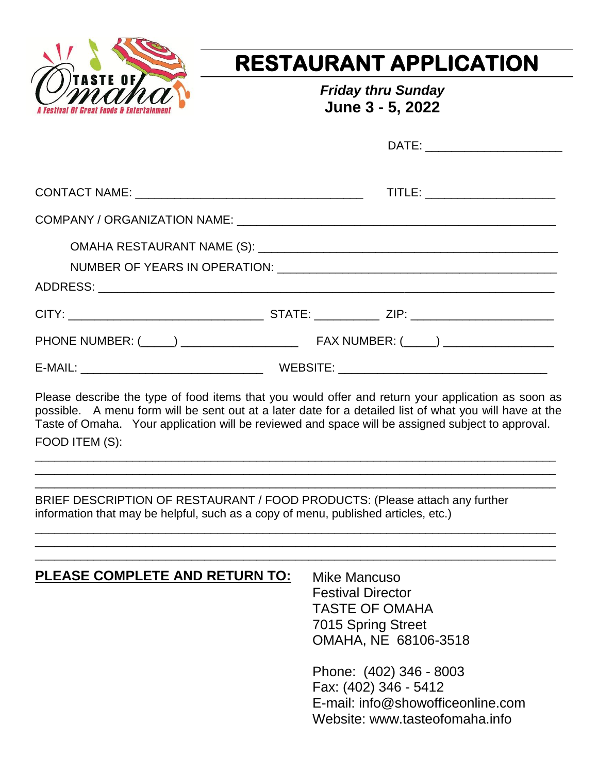

# **RESTAURANT APPLICATION**

*Friday thru Sunday* **June 3 - 5, 2022**

|  | TITLE: _______________________ |
|--|--------------------------------|
|  |                                |
|  |                                |
|  |                                |
|  |                                |
|  |                                |
|  |                                |

Please describe the type of food items that you would offer and return your application as soon as possible. A menu form will be sent out at a later date for a detailed list of what you will have at the Taste of Omaha. Your application will be reviewed and space will be assigned subject to approval. FOOD ITEM (S):

\_\_\_\_\_\_\_\_\_\_\_\_\_\_\_\_\_\_\_\_\_\_\_\_\_\_\_\_\_\_\_\_\_\_\_\_\_\_\_\_\_\_\_\_\_\_\_\_\_\_\_\_\_\_\_\_\_\_\_\_\_\_\_\_\_\_\_\_\_\_\_\_\_\_\_\_\_\_\_\_ \_\_\_\_\_\_\_\_\_\_\_\_\_\_\_\_\_\_\_\_\_\_\_\_\_\_\_\_\_\_\_\_\_\_\_\_\_\_\_\_\_\_\_\_\_\_\_\_\_\_\_\_\_\_\_\_\_\_\_\_\_\_\_\_\_\_\_\_\_\_\_\_\_\_\_\_\_\_\_\_ \_\_\_\_\_\_\_\_\_\_\_\_\_\_\_\_\_\_\_\_\_\_\_\_\_\_\_\_\_\_\_\_\_\_\_\_\_\_\_\_\_\_\_\_\_\_\_\_\_\_\_\_\_\_\_\_\_\_\_\_\_\_\_\_\_\_\_\_\_\_\_\_\_\_\_\_\_\_\_\_

\_\_\_\_\_\_\_\_\_\_\_\_\_\_\_\_\_\_\_\_\_\_\_\_\_\_\_\_\_\_\_\_\_\_\_\_\_\_\_\_\_\_\_\_\_\_\_\_\_\_\_\_\_\_\_\_\_\_\_\_\_\_\_\_\_\_\_\_\_\_\_\_\_\_\_\_\_\_\_\_ \_\_\_\_\_\_\_\_\_\_\_\_\_\_\_\_\_\_\_\_\_\_\_\_\_\_\_\_\_\_\_\_\_\_\_\_\_\_\_\_\_\_\_\_\_\_\_\_\_\_\_\_\_\_\_\_\_\_\_\_\_\_\_\_\_\_\_\_\_\_\_\_\_\_\_\_\_\_\_\_

BRIEF DESCRIPTION OF RESTAURANT / FOOD PRODUCTS: (Please attach any further information that may be helpful, such as a copy of menu, published articles, etc.)

| <b>PLEASE COMPLETE AND RETURN TO:</b> | Mike Mancuso<br><b>Festival Director</b><br><b>TASTE OF OMAHA</b><br>7015 Spring Street<br>OMAHA, NE 68106-3518         |
|---------------------------------------|-------------------------------------------------------------------------------------------------------------------------|
|                                       | Phone: (402) 346 - 8003<br>Fax: (402) 346 - 5412<br>E-mail: info@showofficeonline.com<br>Website: www.tasteofomaha.info |